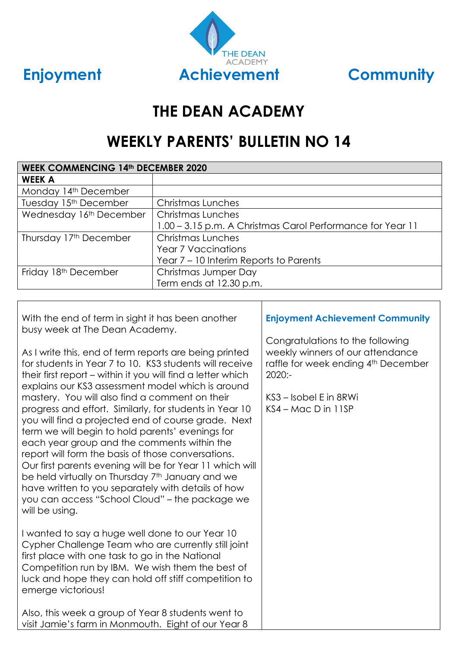



# **THE DEAN ACADEMY**

# **WEEKLY PARENTS' BULLETIN NO 14**

| <b>WEEK COMMENCING 14th DECEMBER 2020</b> |                                                            |  |
|-------------------------------------------|------------------------------------------------------------|--|
| <b>WEEK A</b>                             |                                                            |  |
| Monday 14th December                      |                                                            |  |
| Tuesday 15 <sup>th</sup> December         | Christmas Lunches                                          |  |
| Wednesday 16th December                   | Christmas Lunches                                          |  |
|                                           | 1.00 - 3.15 p.m. A Christmas Carol Performance for Year 11 |  |
| Thursday 17th December                    | <b>Christmas Lunches</b>                                   |  |
|                                           | <b>Year 7 Vaccinations</b>                                 |  |
|                                           | Year 7 – 10 Interim Reports to Parents                     |  |
| Friday 18 <sup>th</sup> December          | Christmas Jumper Day                                       |  |
|                                           | Term ends at 12.30 p.m.                                    |  |

┐

| With the end of term in sight it has been another<br>busy week at The Dean Academy.                                                                                                                                                                                                                                                                                                                                                                                                                                                                                                                                                                                                                                                                                                                                      | <b>Enjoyment Achievement Community</b>                                                                                                                                      |
|--------------------------------------------------------------------------------------------------------------------------------------------------------------------------------------------------------------------------------------------------------------------------------------------------------------------------------------------------------------------------------------------------------------------------------------------------------------------------------------------------------------------------------------------------------------------------------------------------------------------------------------------------------------------------------------------------------------------------------------------------------------------------------------------------------------------------|-----------------------------------------------------------------------------------------------------------------------------------------------------------------------------|
| As I write this, end of term reports are being printed<br>for students in Year 7 to 10. KS3 students will receive<br>their first report – within it you will find a letter which<br>explains our KS3 assessment model which is around<br>mastery. You will also find a comment on their<br>progress and effort. Similarly, for students in Year 10<br>you will find a projected end of course grade. Next<br>term we will begin to hold parents' evenings for<br>each year group and the comments within the<br>report will form the basis of those conversations.<br>Our first parents evening will be for Year 11 which will<br>be held virtually on Thursday 7 <sup>th</sup> January and we<br>have written to you separately with details of how<br>you can access "School Cloud" - the package we<br>will be using. | Congratulations to the following<br>weekly winners of our attendance<br>raffle for week ending 4th December<br>$2020: -$<br>KS3 – Isobel E in 8RWi<br>$KS4 - Mac D$ in 11SP |
| I wanted to say a huge well done to our Year 10<br>Cypher Challenge Team who are currently still joint<br>first place with one task to go in the National<br>Competition run by IBM. We wish them the best of<br>luck and hope they can hold off stiff competition to<br>emerge victorious!<br>Also, this week a group of Year 8 students went to<br>visit Jamie's farm in Monmouth. Eight of our Year 8                                                                                                                                                                                                                                                                                                                                                                                                                 |                                                                                                                                                                             |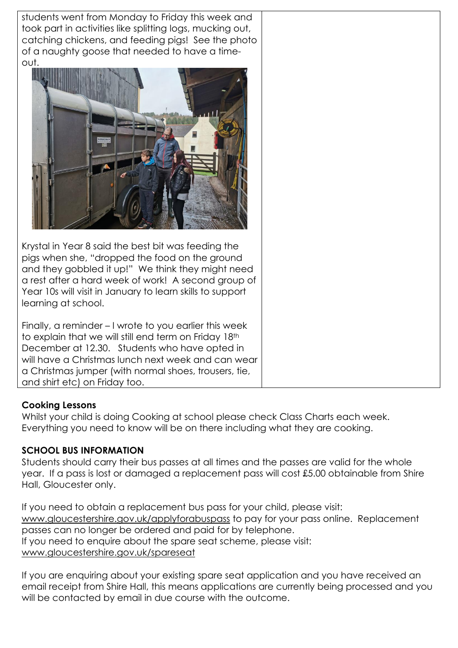students went from Monday to Friday this week and took part in activities like splitting logs, mucking out, catching chickens, and feeding pigs! See the photo of a naughty goose that needed to have a timeout. Krystal in Year 8 said the best bit was feeding the pigs when she, "dropped the food on the ground and they gobbled it up!" We think they might need a rest after a hard week of work! A second group of Year 10s will visit in January to learn skills to support learning at school. Finally, a reminder – I wrote to you earlier this week to explain that we will still end term on Friday 18th December at 12.30. Students who have opted in will have a Christmas lunch next week and can wear a Christmas jumper (with normal shoes, trousers, tie, and shirt etc) on Friday too.

### **Cooking Lessons**

Whilst your child is doing Cooking at school please check Class Charts each week. Everything you need to know will be on there including what they are cooking.

## **SCHOOL BUS INFORMATION**

Students should carry their bus passes at all times and the passes are valid for the whole year. If a pass is lost or damaged a replacement pass will cost £5.00 obtainable from Shire Hall, Gloucester only.

If you need to obtain a replacement bus pass for your child, please visit: [www.gloucestershire.gov.uk/applyforabuspass](http://www.gloucestershire.gov.uk/applyforabuspass) to pay for your pass online. Replacement passes can no longer be ordered and paid for by telephone. If you need to enquire about the spare seat scheme, please visit: [www.gloucestershire.gov.uk/spareseat](http://www.gloucestershire.gov.uk/spareseat)

If you are enquiring about your existing spare seat application and you have received an email receipt from Shire Hall, this means applications are currently being processed and you will be contacted by email in due course with the outcome.